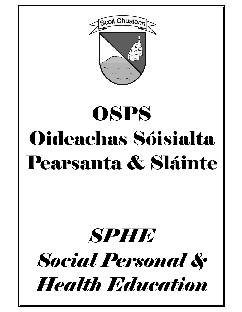

# **OSPS** Oideachas Sóisialta Pearsanta & Sláinte

## *SPHE Social Personal & Health Education*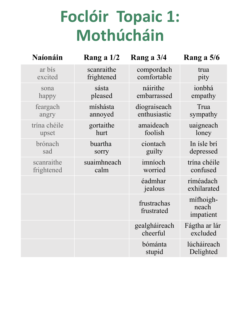### **Foclóir Topaic 1: Mothúcháin**

| <b>Naíonáin</b> | Rang a 1/2  | Rang a 3/4                | Rang a 5/6                      |
|-----------------|-------------|---------------------------|---------------------------------|
| ar bis          | scanraithe  | compordach                | trua                            |
| excited         | frightened  | comfortable               | pity                            |
| sona            | sásta       | náirithe                  | ionbhá                          |
| happy           | pleased     | embarrassed               | empathy                         |
| feargach        | míshásta    | díograiseach              | Trua                            |
| angry           | annoyed     | enthusiastic              | sympathy                        |
| trína chéile    | gortaithe   | amaideach                 | uaigneach                       |
| upset           | hurt        | foolish                   | loney                           |
| brónach         | buartha     | ciontach                  | In isle bri                     |
| sad             | sorry       | guilty                    | depressed                       |
| scanraithe      | suaimhneach | imníoch                   | trína chéile                    |
| frightened      | calm        | worried                   | confused                        |
|                 |             | éadmhar<br>jealous        | ríméadach<br>exhilarated        |
|                 |             | frustrachas<br>frustrated | mífhoigh-<br>neach<br>impatient |
|                 |             | gealgháireach<br>cheerful | Fágtha ar lár<br>excluded       |
|                 |             | bómánta<br>stupid         | lúcháireach<br>Delighted        |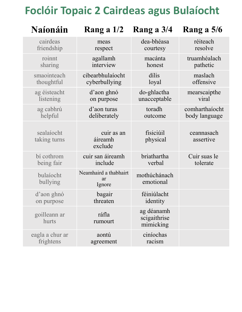#### **Foclóir Topaic 2 Cairdeas agus Bulaíocht**

| <b>Naíonáin</b>            | Rang a $1/2$                          | Rang a 3/4                              | Rang a 5/6              |
|----------------------------|---------------------------------------|-----------------------------------------|-------------------------|
| cairdeas                   | meas                                  | dea-bhéasa                              | réiteach                |
| friendship                 | respect                               | courtesy                                | resolve                 |
| roinnt                     | agallamh                              | macánta                                 | truamhéalach            |
| sharing                    | interview                             | honest                                  | pathetic                |
| smaointeach                | cibearbhulaíocht                      | dílis                                   | maslach                 |
| thoughtful                 | cyberbullying                         | loyal                                   | offensive               |
| ag éisteacht               | d'aon ghnó                            | do-ghlactha                             | mearscaipthe            |
| listening                  | on purpose                            | unacceptable                            | viral                   |
| ag cabhrú                  | d'aon turas                           | toradh                                  | comharthaíocht          |
| helpful                    | deliberately                          | outcome                                 | body language           |
| sealaíocht<br>taking turns | cuir as an<br>áireamh<br>exclude      | fisiciúil<br>physical                   | ceannasach<br>assertive |
| bí cothrom                 | cuir san áireamh                      | briathartha                             | Cuir suas le            |
| being fair                 | include                               | verbal                                  | tolerate                |
| bulaíocht<br>bullying      | Neamhaird a thabhairt<br>ar<br>Ignore | mothúchánach<br>emotional               |                         |
| d'aon ghnó                 | bagair                                | féiniúlacht                             |                         |
| on purpose                 | threaten                              | identity                                |                         |
| goilleann ar<br>hurts      | ráfla<br>rumourt                      | ag déanamh<br>scigaithrise<br>mimicking |                         |
| eagla a chur ar            | aontú                                 | ciníochas                               |                         |
| frightens                  | agreement                             | racism                                  |                         |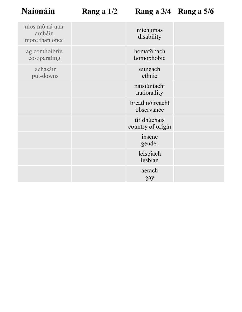| níos mó ná uair<br>amháin<br>more than once | míchumas<br>disability            |  |
|---------------------------------------------|-----------------------------------|--|
| ag comhoibriú<br>co-operating               | homafóbach<br>homophobic          |  |
| achasáin<br>put-downs                       | eitneach<br>ethnic                |  |
|                                             | náisiúntacht<br>nationality       |  |
|                                             | breathnóireacht<br>observance     |  |
|                                             | tír dhúchais<br>country of origin |  |
|                                             | inscne<br>gender                  |  |
|                                             | leispiach<br>lesbian              |  |
|                                             | aerach<br>gay                     |  |
|                                             |                                   |  |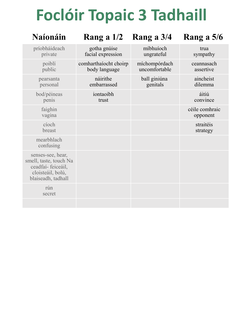### **Foclóir Topaic 3 Tadhaill**

| <b>Naíonáin</b>                                                                                             | Rang a $1/2$                           | Rang a 3/4                     | Rang a 5/6                 |
|-------------------------------------------------------------------------------------------------------------|----------------------------------------|--------------------------------|----------------------------|
| príobháideach<br>private                                                                                    | gotha gnúise<br>facial expression      | míbhuíoch<br>ungrateful        | trua<br>sympathy           |
| poiblí<br>public                                                                                            | comharthaíocht choirp<br>body language | míchompórdach<br>uncomfortable | ceannasach<br>assertive    |
| pearsanta<br>personal                                                                                       | náirithe<br>embarrassed                | ball giniúna<br>genitals       | aincheist<br>dilemma       |
| bod/péineas<br>penis                                                                                        | iontaoibh<br>trust                     |                                | áitiú<br>convince          |
| faighin<br>vagina                                                                                           |                                        |                                | céile comhraic<br>opponent |
| cíoch<br>breast                                                                                             |                                        |                                | straitéis<br>strategy      |
| mearbhlach<br>confusing                                                                                     |                                        |                                |                            |
| senses-see, hear,<br>smell, taste, touch Na<br>ceadfaí-feiceáil,<br>cloisteáil, bolú,<br>blaiseadh, tadhall |                                        |                                |                            |
| rún<br>secret                                                                                               |                                        |                                |                            |
|                                                                                                             |                                        |                                |                            |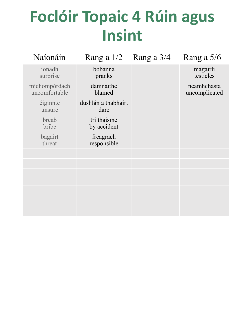### **Foclóir Topaic 4 Rúin agus Insint**

| Naíonáin                       | Rang a $1/2$                | Rang a 3/4 | Rang a 5/6                   |
|--------------------------------|-----------------------------|------------|------------------------------|
| ionadh<br>surprise             | bobanna<br>pranks           |            | magairlí<br>testicles        |
| míchompórdach<br>uncomfortable | damnaithe<br>blamed         |            | neamhchasta<br>uncomplicated |
| éiginnte<br>unsure             | dushlán a thabhairt<br>dare |            |                              |
| breab<br>bribe                 | trí thaisme<br>by accident  |            |                              |
| bagairt<br>threat              | freagrach<br>responsible    |            |                              |
|                                |                             |            |                              |
|                                |                             |            |                              |
|                                |                             |            |                              |
|                                |                             |            |                              |
|                                |                             |            |                              |
|                                |                             |            |                              |